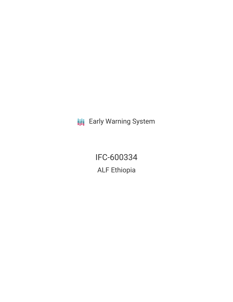**III** Early Warning System

IFC-600334 ALF Ethiopia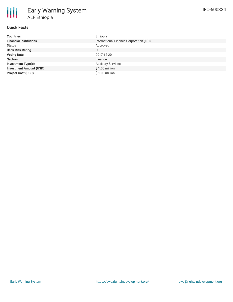# **Quick Facts**

| <b>Countries</b>               | Ethiopia                                |
|--------------------------------|-----------------------------------------|
| <b>Financial Institutions</b>  | International Finance Corporation (IFC) |
| <b>Status</b>                  | Approved                                |
| <b>Bank Risk Rating</b>        |                                         |
| <b>Voting Date</b>             | 2017-12-20                              |
| <b>Sectors</b>                 | Finance                                 |
| <b>Investment Type(s)</b>      | <b>Advisory Services</b>                |
| <b>Investment Amount (USD)</b> | \$1.00 million                          |
| <b>Project Cost (USD)</b>      | $$1.00$ million                         |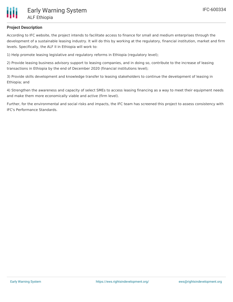

### **Project Description**

According to IFC website, the project intends to facilitate access to finance for small and medium enterprises through the development of a sustainable leasing industry. It will do this by working at the regulatory, financial institution, market and firm levels. Specifically, the ALF II in Ethiopia will work to:

1) Help promote leasing legislative and regulatory reforms in Ethiopia (regulatory level);

2) Provide leasing business advisory support to leasing companies, and in doing so, contribute to the increase of leasing transactions in Ethiopia by the end of December 2020 (financial institutions level);

3) Provide skills development and knowledge transfer to leasing stakeholders to continue the development of leasing in Ethiopia; and

4) Strengthen the awareness and capacity of select SMEs to access leasing financing as a way to meet their equipment needs and make them more economically viable and active (firm level).

Further, for the environmental and social risks and impacts, the IFC team has screened this project to assess consistency with IFC's Performance Standards.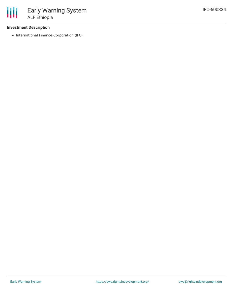### **Investment Description**

• International Finance Corporation (IFC)